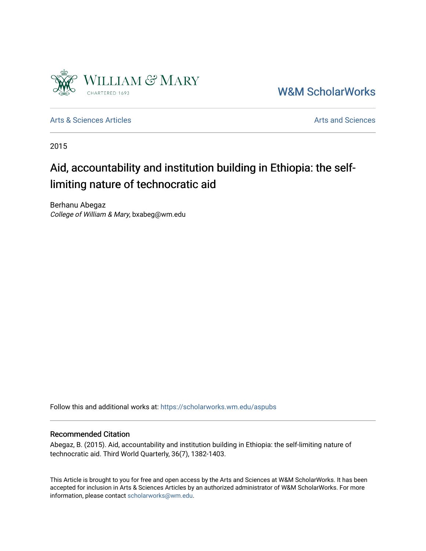

[W&M ScholarWorks](https://scholarworks.wm.edu/) 

[Arts & Sciences Articles](https://scholarworks.wm.edu/aspubs) **Articles** [Arts and Sciences](https://scholarworks.wm.edu/as) Articles Arts and Sciences Arts and Sciences

2015

# Aid, accountability and institution building in Ethiopia: the selflimiting nature of technocratic aid

Berhanu Abegaz College of William & Mary, bxabeg@wm.edu

Follow this and additional works at: [https://scholarworks.wm.edu/aspubs](https://scholarworks.wm.edu/aspubs?utm_source=scholarworks.wm.edu%2Faspubs%2F948&utm_medium=PDF&utm_campaign=PDFCoverPages) 

# Recommended Citation

Abegaz, B. (2015). Aid, accountability and institution building in Ethiopia: the self-limiting nature of technocratic aid. Third World Quarterly, 36(7), 1382-1403.

This Article is brought to you for free and open access by the Arts and Sciences at W&M ScholarWorks. It has been accepted for inclusion in Arts & Sciences Articles by an authorized administrator of W&M ScholarWorks. For more information, please contact [scholarworks@wm.edu](mailto:scholarworks@wm.edu).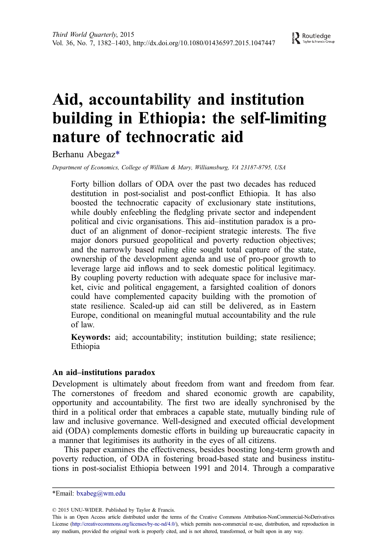# Aid, accountability and institution building in Ethiopia: the self-limiting nature of technocratic aid

Berhanu Abegaz\*

Department of Economics, College of William & Mary, Williamsburg, VA 23187-8795, USA

Forty billion dollars of ODA over the past two decades has reduced destitution in post-socialist and post-conflict Ethiopia. It has also boosted the technocratic capacity of exclusionary state institutions, while doubly enfeebling the fledgling private sector and independent political and civic organisations. This aid–institution paradox is a product of an alignment of donor–recipient strategic interests. The five major donors pursued geopolitical and poverty reduction objectives; and the narrowly based ruling elite sought total capture of the state, ownership of the development agenda and use of pro-poor growth to leverage large aid inflows and to seek domestic political legitimacy. By coupling poverty reduction with adequate space for inclusive market, civic and political engagement, a farsighted coalition of donors could have complemented capacity building with the promotion of state resilience. Scaled-up aid can still be delivered, as in Eastern Europe, conditional on meaningful mutual accountability and the rule of law.

Keywords: aid; accountability; institution building; state resilience; Ethiopia

### An aid–institutions paradox

Development is ultimately about freedom from want and freedom from fear. The cornerstones of freedom and shared economic growth are capability, opportunity and accountability. The first two are ideally synchronised by the third in a political order that embraces a capable state, mutually binding rule of law and inclusive governance. Well-designed and executed official development aid (ODA) complements domestic efforts in building up bureaucratic capacity in a manner that legitimises its authority in the eyes of all citizens.

This paper examines the effectiveness, besides boosting long-term growth and poverty reduction, of ODA in fostering broad-based state and business institutions in post-socialist Ethiopia between 1991 and 2014. Through a comparative

<sup>\*</sup>Email: [bxabeg@wm.edu](mailto:bxabeg@wm.edu)

<sup>© 2015</sup> UNU-WIDER. Published by Taylor & Francis.

This is an Open Access article distributed under the terms of the Creative Commons Attribution-NonCommercial-NoDerivatives License [\(http://creativecommons.org/licenses/by-nc-nd/4.0/](http://www.ehrco.org)), which permits non-commercial re-use, distribution, and reproduction in any medium, provided the original work is properly cited, and is not altered, transformed, or built upon in any way.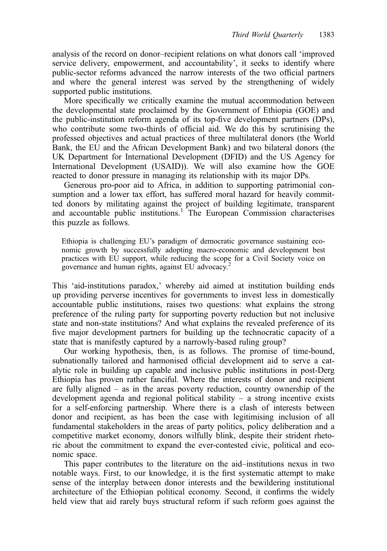analysis of the record on donor–recipient relations on what donors call 'improved service delivery, empowerment, and accountability', it seeks to identify where public-sector reforms advanced the narrow interests of the two official partners and where the general interest was served by the strengthening of widely supported public institutions.

More specifically we critically examine the mutual accommodation between the developmental state proclaimed by the Government of Ethiopia (GOE) and the public-institution reform agenda of its top-five development partners (DPs), who contribute some two-thirds of official aid. We do this by scrutinising the professed objectives and actual practices of three multilateral donors (the World Bank, the EU and the African Development Bank) and two bilateral donors (the UK Department for International Development (DFID) and the US Agency for International Development (USAID)). We will also examine how the GOE reacted to donor pressure in managing its relationship with its major DPs.

Generous pro-poor aid to Africa, in addition to supporting patrimonial consumption and a lower tax effort, has suffered moral hazard for heavily committed donors by militating against the project of building legitimate, transparent and accountable public institutions.<sup>[1](#page-19-0)</sup> The European Commission characterises this puzzle as follows.

Ethiopia is challenging EU's paradigm of democratic governance sustaining economic growth by successfully adopting macro-economic and development best practices with EU support, while reducing the scope for a Civil Society voice on governance and human rights, against EU advocacy.[2](#page-19-0)

This 'aid-institutions paradox,' whereby aid aimed at institution building ends up providing perverse incentives for governments to invest less in domestically accountable public institutions, raises two questions: what explains the strong preference of the ruling party for supporting poverty reduction but not inclusive state and non-state institutions? And what explains the revealed preference of its five major development partners for building up the technocratic capacity of a state that is manifestly captured by a narrowly-based ruling group?

Our working hypothesis, then, is as follows. The promise of time-bound, subnationally tailored and harmonised official development aid to serve a catalytic role in building up capable and inclusive public institutions in post-Derg Ethiopia has proven rather fanciful. Where the interests of donor and recipient are fully aligned – as in the areas poverty reduction, country ownership of the development agenda and regional political stability – a strong incentive exists for a self-enforcing partnership. Where there is a clash of interests between donor and recipient, as has been the case with legitimising inclusion of all fundamental stakeholders in the areas of party politics, policy deliberation and a competitive market economy, donors wilfully blink, despite their strident rhetoric about the commitment to expand the ever-contested civic, political and economic space.

This paper contributes to the literature on the aid–institutions nexus in two notable ways. First, to our knowledge, it is the first systematic attempt to make sense of the interplay between donor interests and the bewildering institutional architecture of the Ethiopian political economy. Second, it confirms the widely held view that aid rarely buys structural reform if such reform goes against the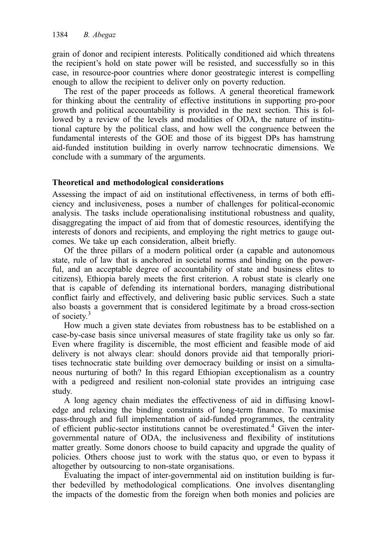grain of donor and recipient interests. Politically conditioned aid which threatens the recipient's hold on state power will be resisted, and successfully so in this case, in resource-poor countries where donor geostrategic interest is compelling enough to allow the recipient to deliver only on poverty reduction.

The rest of the paper proceeds as follows. A general theoretical framework for thinking about the centrality of effective institutions in supporting pro-poor growth and political accountability is provided in the next section. This is followed by a review of the levels and modalities of ODA, the nature of institutional capture by the political class, and how well the congruence between the fundamental interests of the GOE and those of its biggest DPs has hamstrung aid-funded institution building in overly narrow technocratic dimensions. We conclude with a summary of the arguments.

# Theoretical and methodological considerations

Assessing the impact of aid on institutional effectiveness, in terms of both efficiency and inclusiveness, poses a number of challenges for political-economic analysis. The tasks include operationalising institutional robustness and quality, disaggregating the impact of aid from that of domestic resources, identifying the interests of donors and recipients, and employing the right metrics to gauge outcomes. We take up each consideration, albeit briefly.

Of the three pillars of a modern political order (a capable and autonomous state, rule of law that is anchored in societal norms and binding on the powerful, and an acceptable degree of accountability of state and business elites to citizens), Ethiopia barely meets the first criterion. A robust state is clearly one that is capable of defending its international borders, managing distributional conflict fairly and effectively, and delivering basic public services. Such a state also boasts a government that is considered legitimate by a broad cross-section of society.<sup>[3](#page-19-0)</sup>

How much a given state deviates from robustness has to be established on a case-by-case basis since universal measures of state fragility take us only so far. Even where fragility is discernible, the most efficient and feasible mode of aid delivery is not always clear: should donors provide aid that temporally prioritises technocratic state building over democracy building or insist on a simultaneous nurturing of both? In this regard Ethiopian exceptionalism as a country with a pedigreed and resilient non-colonial state provides an intriguing case study.

A long agency chain mediates the effectiveness of aid in diffusing knowledge and relaxing the binding constraints of long-term finance. To maximise pass-through and full implementation of aid-funded programmes, the centrality of efficient public-sector institutions cannot be overestimated.<sup>[4](#page-19-0)</sup> Given the intergovernmental nature of ODA, the inclusiveness and flexibility of institutions matter greatly. Some donors choose to build capacity and upgrade the quality of policies. Others choose just to work with the status quo, or even to bypass it altogether by outsourcing to non-state organisations.

Evaluating the impact of inter-governmental aid on institution building is further bedevilled by methodological complications. One involves disentangling the impacts of the domestic from the foreign when both monies and policies are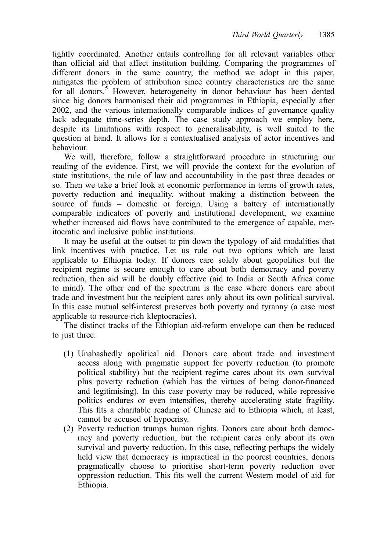tightly coordinated. Another entails controlling for all relevant variables other than official aid that affect institution building. Comparing the programmes of different donors in the same country, the method we adopt in this paper, mitigates the problem of attribution since country characteristics are the same for all donors.<sup>[5](#page-19-0)</sup> However, heterogeneity in donor behaviour has been dented since big donors harmonised their aid programmes in Ethiopia, especially after 2002, and the various internationally comparable indices of governance quality lack adequate time-series depth. The case study approach we employ here, despite its limitations with respect to generalisability, is well suited to the question at hand. It allows for a contextualised analysis of actor incentives and behaviour.

We will, therefore, follow a straightforward procedure in structuring our reading of the evidence. First, we will provide the context for the evolution of state institutions, the rule of law and accountability in the past three decades or so. Then we take a brief look at economic performance in terms of growth rates, poverty reduction and inequality, without making a distinction between the source of funds – domestic or foreign. Using a battery of internationally comparable indicators of poverty and institutional development, we examine whether increased aid flows have contributed to the emergence of capable, meritocratic and inclusive public institutions.

It may be useful at the outset to pin down the typology of aid modalities that link incentives with practice. Let us rule out two options which are least applicable to Ethiopia today. If donors care solely about geopolitics but the recipient regime is secure enough to care about both democracy and poverty reduction, then aid will be doubly effective (aid to India or South Africa come to mind). The other end of the spectrum is the case where donors care about trade and investment but the recipient cares only about its own political survival. In this case mutual self-interest preserves both poverty and tyranny (a case most applicable to resource-rich kleptocracies).

The distinct tracks of the Ethiopian aid-reform envelope can then be reduced to just three:

- (1) Unabashedly apolitical aid. Donors care about trade and investment access along with pragmatic support for poverty reduction (to promote political stability) but the recipient regime cares about its own survival plus poverty reduction (which has the virtues of being donor-financed and legitimising). In this case poverty may be reduced, while repressive politics endures or even intensifies, thereby accelerating state fragility. This fits a charitable reading of Chinese aid to Ethiopia which, at least, cannot be accused of hypocrisy.
- (2) Poverty reduction trumps human rights. Donors care about both democracy and poverty reduction, but the recipient cares only about its own survival and poverty reduction. In this case, reflecting perhaps the widely held view that democracy is impractical in the poorest countries, donors pragmatically choose to prioritise short-term poverty reduction over oppression reduction. This fits well the current Western model of aid for Ethiopia.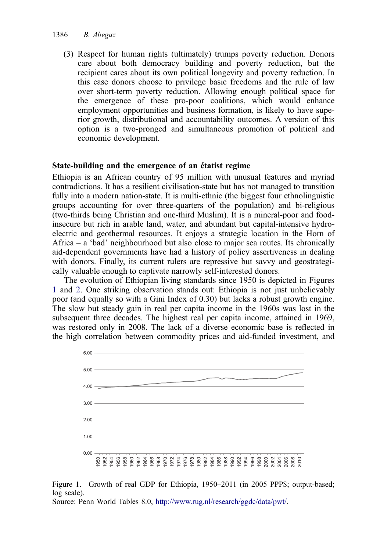#### 1386 B. Abegaz

(3) Respect for human rights (ultimately) trumps poverty reduction. Donors care about both democracy building and poverty reduction, but the recipient cares about its own political longevity and poverty reduction. In this case donors choose to privilege basic freedoms and the rule of law over short-term poverty reduction. Allowing enough political space for the emergence of these pro-poor coalitions, which would enhance employment opportunities and business formation, is likely to have superior growth, distributional and accountability outcomes. A version of this option is a two-pronged and simultaneous promotion of political and economic development.

# State-building and the emergence of an étatist regime

Ethiopia is an African country of 95 million with unusual features and myriad contradictions. It has a resilient civilisation-state but has not managed to transition fully into a modern nation-state. It is multi-ethnic (the biggest four ethnolinguistic groups accounting for over three-quarters of the population) and bi-religious (two-thirds being Christian and one-third Muslim). It is a mineral-poor and foodinsecure but rich in arable land, water, and abundant but capital-intensive hydroelectric and geothermal resources. It enjoys a strategic location in the Horn of Africa – a 'bad' neighbourhood but also close to major sea routes. Its chronically aid-dependent governments have had a history of policy assertiveness in dealing with donors. Finally, its current rulers are repressive but savvy and geostrategically valuable enough to captivate narrowly self-interested donors.

The evolution of Ethiopian living standards since 1950 is depicted in Figures 1 and [2.](#page-6-0) One striking observation stands out: Ethiopia is not just unbelievably poor (and equally so with a Gini Index of 0.30) but lacks a robust growth engine. The slow but steady gain in real per capita income in the 1960s was lost in the subsequent three decades. The highest real per capita income, attained in 1969, was restored only in 2008. The lack of a diverse economic base is reflected in the high correlation between commodity prices and aid-funded investment, and



Figure 1. Growth of real GDP for Ethiopia, 1950–2011 (in 2005 PPP\$; output-based; log scale). Source: Penn World Tables 8.0, [http://www.rug.nl/research/ggdc/data/pwt/.](http://www.rug.nl/research/ggdc/data/pwt/)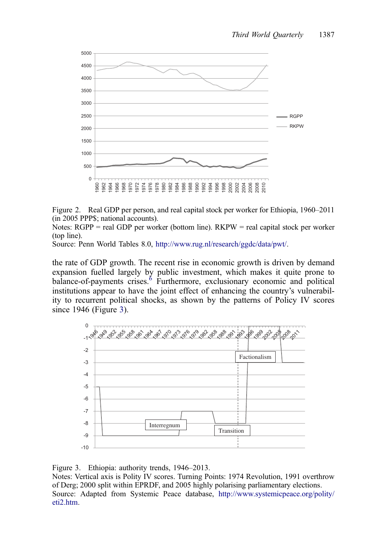<span id="page-6-0"></span>

Figure 2. Real GDP per person, and real capital stock per worker for Ethiopia, 1960–2011 (in 2005 PPP\$; national accounts).

Notes:  $RGPP$  = real GDP per worker (bottom line).  $RKPW$  = real capital stock per worker (top line).

Source: Penn World Tables 8.0, [http://www.rug.nl/research/ggdc/data/pwt/.](http://www.rug.nl/research/ggdc/data/pwt/)

the rate of GDP growth. The recent rise in economic growth is driven by demand expansion fuelled largely by public investment, which makes it quite prone to balance-of-payments crises.<sup>[6](#page-19-0)</sup> Furthermore, exclusionary economic and political institutions appear to have the joint effect of enhancing the country's vulnerability to recurrent political shocks, as shown by the patterns of Policy IV scores since 1946 (Figure 3).



Figure 3. Ethiopia: authority trends, 1946–2013.

Notes: Vertical axis is Polity IV scores. Turning Points: 1974 Revolution, 1991 overthrow of Derg; 2000 split within EPRDF, and 2005 highly polarising parliamentary elections. Source: Adapted from Systemic Peace database, [http://www.systemicpeace.org/polity/](http://www.systemicpeace.org/polity/eti2.htm) [eti2.htm](http://www.systemicpeace.org/polity/eti2.htm).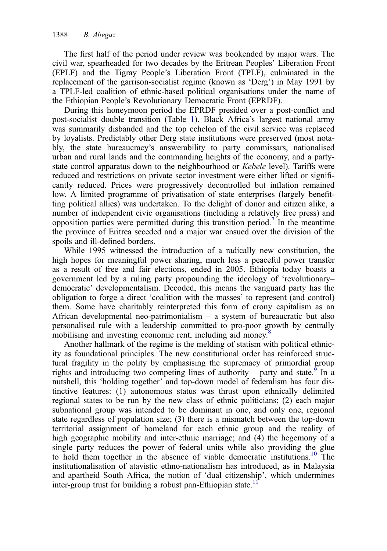The first half of the period under review was bookended by major wars. The civil war, spearheaded for two decades by the Eritrean Peoples' Liberation Front (EPLF) and the Tigray People's Liberation Front (TPLF), culminated in the replacement of the garrison-socialist regime (known as 'Derg') in May 1991 by a TPLF-led coalition of ethnic-based political organisations under the name of the Ethiopian People's Revolutionary Democratic Front (EPRDF).

During this honeymoon period the EPRDF presided over a post-conflict and post-socialist double transition (Table [1](#page-8-0)). Black Africa's largest national army was summarily disbanded and the top echelon of the civil service was replaced by loyalists. Predictably other Derg state institutions were preserved (most notably, the state bureaucracy's answerability to party commissars, nationalised urban and rural lands and the commanding heights of the economy, and a partystate control apparatus down to the neighbourhood or Kebele level). Tariffs were reduced and restrictions on private sector investment were either lifted or significantly reduced. Prices were progressively decontrolled but inflation remained low. A limited programme of privatisation of state enterprises (largely benefitting political allies) was undertaken. To the delight of donor and citizen alike, a number of independent civic organisations (including a relatively free press) and opposition parties were permitted during this transition period.<sup> $\prime$ </sup> In the meantime the province of Eritrea seceded and a major war ensued over the division of the spoils and ill-defined borders.

While 1995 witnessed the introduction of a radically new constitution, the high hopes for meaningful power sharing, much less a peaceful power transfer as a result of free and fair elections, ended in 2005. Ethiopia today boasts a government led by a ruling party propounding the ideology of 'revolutionary– democratic' developmentalism. Decoded, this means the vanguard party has the obligation to forge a direct 'coalition with the masses' to represent (and control) them. Some have charitably reinterpreted this form of crony capitalism as an African developmental neo-patrimonialism  $-$  a system of bureaucratic but also personalised rule with a leadership committed to pro-poor growth by centrally mobilising and investing economic rent, including aid money.<sup>[8](#page-19-0)</sup>

Another hallmark of the regime is the melding of statism with political ethnicity as foundational principles. The new constitutional order has reinforced structural fragility in the polity by emphasising the supremacy of primordial group rights and introducing two competing lines of authority – party and state.<sup>9</sup> In a nutshell, this 'holding together' and top-down model of federalism has four distinctive features: (1) autonomous status was thrust upon ethnically delimited regional states to be run by the new class of ethnic politicians; (2) each major subnational group was intended to be dominant in one, and only one, regional state regardless of population size; (3) there is a mismatch between the top-down territorial assignment of homeland for each ethnic group and the reality of high geographic mobility and inter-ethnic marriage; and (4) the hegemony of a single party reduces the power of federal units while also providing the glue to hold them together in the absence of viable democratic institutions.[10](#page-19-0) The institutionalisation of atavistic ethno-nationalism has introduced, as in Malaysia and apartheid South Africa, the notion of 'dual citizenship', which undermines inter-group trust for building a robust pan-Ethiopian state.<sup>[11](#page-19-0)</sup>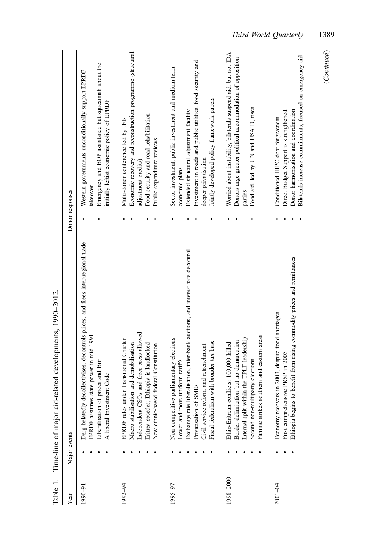<span id="page-8-0"></span>

| Table 1.    |              | Time-line of major aid-related developments, 1990-2012                                                                                                                                                                                                                              |                                                                                                                                                                                                                                                       |
|-------------|--------------|-------------------------------------------------------------------------------------------------------------------------------------------------------------------------------------------------------------------------------------------------------------------------------------|-------------------------------------------------------------------------------------------------------------------------------------------------------------------------------------------------------------------------------------------------------|
| Year        | Major events |                                                                                                                                                                                                                                                                                     | Donor responses                                                                                                                                                                                                                                       |
| $1990 - 91$ |              | Derg belatedly decollectivises, decontrols prices, and frees inter-regional trade<br>EPRDF assumes state power in mid-1991<br>Liberalisation of prices and Birr<br>A liberal Investment Code                                                                                        | Emergency and BOP assistance but squeamish about the<br>Western governments unconditionally support EPRDF<br>initially leftist economic policy of EPRDF<br>takeover                                                                                   |
| 1992–94     |              | Independent CSOs and freer press allowed<br>EPRDF rules under Transitional Charter<br>Macro stabilisation and demobilisation<br>Ethiopia is landlocked<br>New ethnic-based federal Constitution<br>Eritrea secedes;                                                                 | Economic recovery and reconstruction programme (structural<br>Food security and road rehabilitation<br>Multi-donor conference led by IFIs<br>Public expenditure reviews<br>adjustment credits)                                                        |
| 1995-97     |              | Exchange rate liberalisation, inter-bank auctions, and interest rate decontrol<br>Non-competitive parliamentary elections<br>Fiscal federalism with broader tax base<br>Civil service reform and retrenchment<br>Lower and more uniform tariffs<br><b>SMIEs</b><br>Privatisation of | Investment in roads and public utilities, food security and<br>Sector investment, public investment and medium-term<br>Jointly developed policy framework papers<br>Extended structural adjustment facility<br>deeper privatisation<br>economic plans |
| 1998-2000   |              | Famine strikes southern and eastern areas<br>Internal split within the TPLF leadership<br>Border delimitation but no demarcation<br>Ethio-Eritrean conflicts: 100,000 killed<br>Second non-multiparty elections                                                                     | Worried about instability, bilaterals suspend aid, but not IDA<br>Donors urge greater political accommodation of opposition<br>Food aid, led by UN and USAID, rises<br>parties                                                                        |
| $2001 - 04$ |              | to benefit from rising commodity prices and remittances<br>Economy recovers in 2003, despite food shortages<br>First comprehensive PRSP in 2003<br>Ethiopia begins                                                                                                                  | Bilaterals increase commitments, focused on emergency aid<br>Donor harmonisation and coordination<br>Direct Budget Support is strengthened<br>Conditioned HIPC debt forgiveness                                                                       |
|             |              |                                                                                                                                                                                                                                                                                     | (Continued)                                                                                                                                                                                                                                           |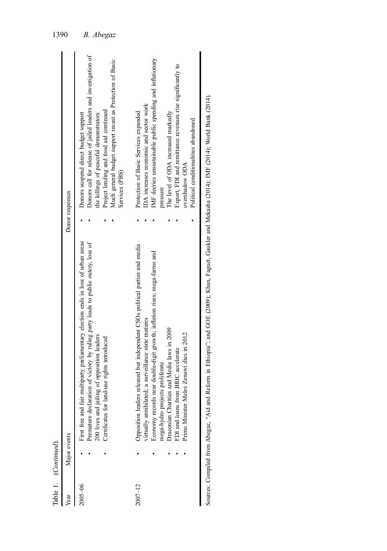|             | Table 1. (Continued). |                                                                                                                                                          |                                                                                  |
|-------------|-----------------------|----------------------------------------------------------------------------------------------------------------------------------------------------------|----------------------------------------------------------------------------------|
| Year        | Major events          |                                                                                                                                                          | Donor responses                                                                  |
| $2005 - 06$ |                       | First free and fair multiparty parliamentary election ends in loss of urban areas                                                                        | Donors suspend direct budget support                                             |
|             |                       | Premature declaration of victory by ruling party leads to public outcry, loss of                                                                         | Donors call for release of jailed leaders and investigation of                   |
|             |                       | 200 lives and jailing of opposition leaders<br>Certificates for land-use rights introduced                                                               | Project lending and food aid continued<br>the killings of peaceful demonstrators |
|             |                       |                                                                                                                                                          | Much general budget support recast as Protection of Basic                        |
|             |                       |                                                                                                                                                          | Services (PBS)                                                                   |
| $2007 - 12$ |                       | Opposition leaders released but independent CSOs political parties and media                                                                             | Protection of Basic Services expanded                                            |
|             |                       | virtually annihilated; a surveillance state matures                                                                                                      | IDA increases economic and sector work                                           |
|             |                       | Economy records near double-digit growth; inflation rises; mega-farms and                                                                                | IMF decries unsustainable public spending and inflationary                       |
|             |                       | mega-hydro projects proliferate                                                                                                                          | pressure                                                                         |
|             |                       | Draconian Charities and Media laws in 2009                                                                                                               | The level of ODA increased markedly                                              |
|             |                       | FDI and loans from BRIC accelerate                                                                                                                       | Export, FDI and remittance revenues rise significantly to                        |
|             |                       | Prime Minister Meles Zenawi dies in 2012                                                                                                                 | overshadow ODA                                                                   |
|             |                       |                                                                                                                                                          | Political conditionalities abandoned                                             |
|             |                       | Reform in Ethiopia", and GOE (2009); Khan, Faguet, Gaukler and Mekasha (2014); IMF (2014); World Bank (2014).<br>Sources: Compiled from Abegaz, "Aid and |                                                                                  |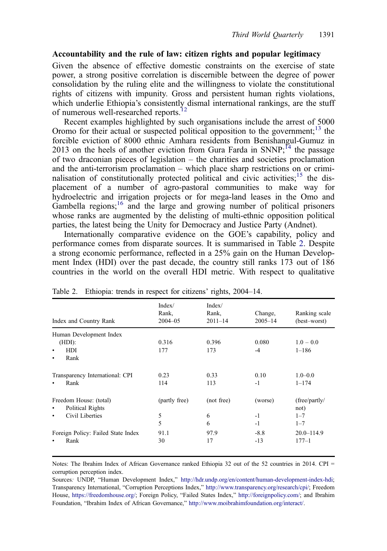### Accountability and the rule of law: citizen rights and popular legitimacy

Given the absence of effective domestic constraints on the exercise of state power, a strong positive correlation is discernible between the degree of power consolidation by the ruling elite and the willingness to violate the constitutional rights of citizens with impunity. Gross and persistent human rights violations, which underlie Ethiopia's consistently dismal international rankings, are the stuff of numerous well-researched reports.<sup>12</sup>

Recent examples highlighted by such organisations include the arrest of 5000 Oromo for their actual or suspected political opposition to the government;<sup>13</sup> the forcible eviction of 8000 ethnic Amhara residents from Benishangul-Gumuz in 2013 on the heels of another eviction from Gura Farda in  $SNNP$ ;<sup>14</sup>, the passage of two draconian pieces of legislation – the charities and societies proclamation and the anti-terrorism proclamation – which place sharp restrictions on or crimi-nalisation of constitutionally protected political and civic activities;<sup>[15](#page-19-0)</sup> the displacement of a number of agro-pastoral communities to make way for hydroelectric and irrigation projects or for mega-land leases in the Omo and Gambella regions;<sup>[16](#page-19-0)</sup> and the large and growing number of political prisoners whose ranks are augmented by the delisting of multi-ethnic opposition political parties, the latest being the Unity for Democracy and Justice Party (Andnet).

Internationally comparative evidence on the GOE's capability, policy and performance comes from disparate sources. It is summarised in Table 2. Despite a strong economic performance, reflected in a 25% gain on the Human Development Index (HDI) over the past decade, the country still ranks 173 out of 186 countries in the world on the overall HDI metric. With respect to qualitative

| Index and Country Rank                          | Index/<br>Rank,<br>$2004 - 05$ | Index/<br>Rank,<br>$2011 - 14$ | Change,<br>$2005 - 14$ | Ranking scale<br>(best-worst) |
|-------------------------------------------------|--------------------------------|--------------------------------|------------------------|-------------------------------|
| Human Development Index                         |                                |                                |                        |                               |
| (HDI):                                          | 0.316                          | 0.396                          | 0.080                  | $1.0 - 0.0$                   |
| HDI<br>٠                                        | 177                            | 173                            | $-4$                   | $1 - 186$                     |
| Rank<br>٠                                       |                                |                                |                        |                               |
| Transparency International: CPI                 | 0.23                           | 0.33                           | 0.10                   | $1.0 - 0.0$                   |
| Rank<br>٠                                       | 114                            | 113                            | $-1$                   | $1 - 174$                     |
| Freedom House: (total)<br>Political Rights<br>٠ | (partly free)                  | (not free)                     | (worse)                | (free/partly/<br>not)         |
| Civil Liberties<br>٠                            | 5                              | 6                              | $-1$                   | $1 - 7$                       |
|                                                 | 5                              | 6                              | $-1$                   | $1 - 7$                       |
| Foreign Policy: Failed State Index              | 91.1                           | 97.9                           | $-8.8$                 | $20.0 - 114.9$                |
| Rank<br>٠                                       | 30                             | 17                             | $-13$                  | $177 - 1$                     |

Table 2. Ethiopia: trends in respect for citizens' rights, 2004–14.

Notes: The Ibrahim Index of African Governance ranked Ethiopia 32 out of the 52 countries in 2014. CPI = corruption perception index.

Sources: UNDP, "Human Development Index," <http://hdr.undp.org/en/content/human-development-index-hdi>; Transparency International, "Corruption Perceptions Index," [http://www.transparency.org/research/cpi/;](http://www.transparency.org/research/cpi/) Freedom House, [https://freedomhouse.org/;](https://freedomhouse.org/) Foreign Policy, "Failed States Index," <http://foreignpolicy.com/>; and Ibrahim Foundation, "Ibrahim Index of African Governance," <http://www.moibrahimfoundation.org/interact/>.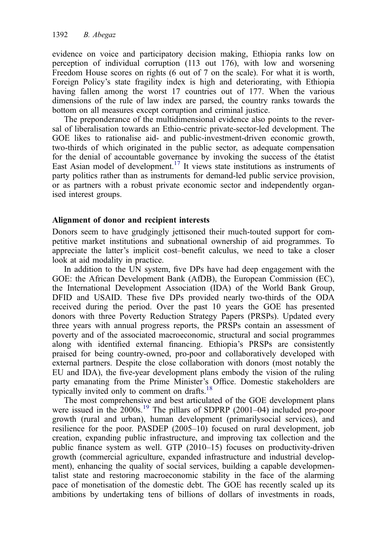evidence on voice and participatory decision making, Ethiopia ranks low on perception of individual corruption (113 out 176), with low and worsening Freedom House scores on rights (6 out of 7 on the scale). For what it is worth, Foreign Policy's state fragility index is high and deteriorating, with Ethiopia having fallen among the worst 17 countries out of 177. When the various dimensions of the rule of law index are parsed, the country ranks towards the bottom on all measures except corruption and criminal justice.

The preponderance of the multidimensional evidence also points to the reversal of liberalisation towards an Ethio-centric private-sector-led development. The GOE likes to rationalise aid- and public-investment-driven economic growth, two-thirds of which originated in the public sector, as adequate compensation for the denial of accountable governance by invoking the success of the étatist East Asian model of development.<sup>[17](#page-20-0)</sup> It views state institutions as instruments of party politics rather than as instruments for demand-led public service provision, or as partners with a robust private economic sector and independently organised interest groups.

# Alignment of donor and recipient interests

Donors seem to have grudgingly jettisoned their much-touted support for competitive market institutions and subnational ownership of aid programmes. To appreciate the latter's implicit cost–benefit calculus, we need to take a closer look at aid modality in practice.

In addition to the UN system, five DPs have had deep engagement with the GOE: the African Development Bank (AfDB), the European Commission (EC), the International Development Association (IDA) of the World Bank Group, DFID and USAID. These five DPs provided nearly two-thirds of the ODA received during the period. Over the past 10 years the GOE has presented donors with three Poverty Reduction Strategy Papers (PRSPs). Updated every three years with annual progress reports, the PRSPs contain an assessment of poverty and of the associated macroeconomic, structural and social programmes along with identified external financing. Ethiopia's PRSPs are consistently praised for being country-owned, pro-poor and collaboratively developed with external partners. Despite the close collaboration with donors (most notably the EU and IDA), the five-year development plans embody the vision of the ruling party emanating from the Prime Minister's Office. Domestic stakeholders are typically invited only to comment on drafts.<sup>[18](#page-20-0)</sup>

The most comprehensive and best articulated of the GOE development plans were issued in the 2000s.<sup>19</sup> The pillars of SDPRP (2001–04) included pro-poor growth (rural and urban), human development (primarilysocial services), and resilience for the poor. PASDEP (2005–10) focused on rural development, job creation, expanding public infrastructure, and improving tax collection and the public finance system as well. GTP (2010–15) focuses on productivity-driven growth (commercial agriculture, expanded infrastructure and industrial development), enhancing the quality of social services, building a capable developmentalist state and restoring macroeconomic stability in the face of the alarming pace of monetisation of the domestic debt. The GOE has recently scaled up its ambitions by undertaking tens of billions of dollars of investments in roads,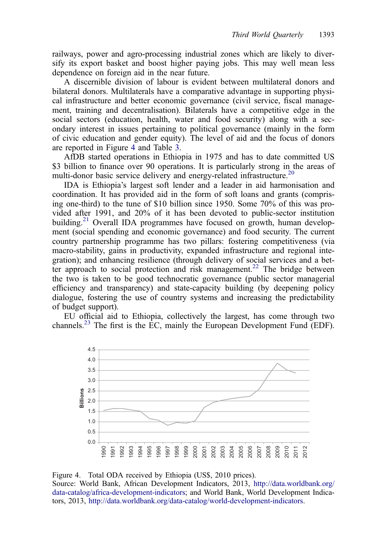railways, power and agro-processing industrial zones which are likely to diversify its export basket and boost higher paying jobs. This may well mean less dependence on foreign aid in the near future.

A discernible division of labour is evident between multilateral donors and bilateral donors. Multilaterals have a comparative advantage in supporting physical infrastructure and better economic governance (civil service, fiscal management, training and decentralisation). Bilaterals have a competitive edge in the social sectors (education, health, water and food security) along with a secondary interest in issues pertaining to political governance (mainly in the form of civic education and gender equity). The level of aid and the focus of donors are reported in Figure 4 and Table [3.](#page-13-0)

AfDB started operations in Ethiopia in 1975 and has to date committed US \$3 billion to finance over 90 operations. It is particularly strong in the areas of multi-donor basic service delivery and energy-related infrastructure.<sup>[20](#page-20-0)</sup>

IDA is Ethiopia's largest soft lender and a leader in aid harmonisation and coordination. It has provided aid in the form of soft loans and grants (comprising one-third) to the tune of \$10 billion since 1950. Some 70% of this was provided after 1991, and 20% of it has been devoted to public-sector institution building.<sup>[21](#page-20-0)</sup> Overall IDA programmes have focused on growth, human development (social spending and economic governance) and food security. The current country partnership programme has two pillars: fostering competitiveness (via macro-stability, gains in productivity, expanded infrastructure and regional integration); and enhancing resilience (through delivery of social services and a bet-ter approach to social protection and risk management.<sup>[22](#page-20-0)</sup> The bridge between the two is taken to be good technocratic governance (public sector managerial efficiency and transparency) and state-capacity building (by deepening policy dialogue, fostering the use of country systems and increasing the predictability of budget support).

EU official aid to Ethiopia, collectively the largest, has come through two channels.<sup>23</sup> The first is the EC, mainly the European Development Fund (EDF).



Figure 4. Total ODA received by Ethiopia (US\$, 2010 prices). Source: World Bank, African Development Indicators, 2013, [http://data.worldbank.org/](http://data.worldbank.org/data-catalog/africa-development-indicators) [data-catalog/africa-development-indicators](http://data.worldbank.org/data-catalog/africa-development-indicators); and World Bank, World Development Indicators, 2013, [http://data.worldbank.org/data-catalog/world-development-indicators.](http://data.worldbank.org/data-catalog/world-development-indicators)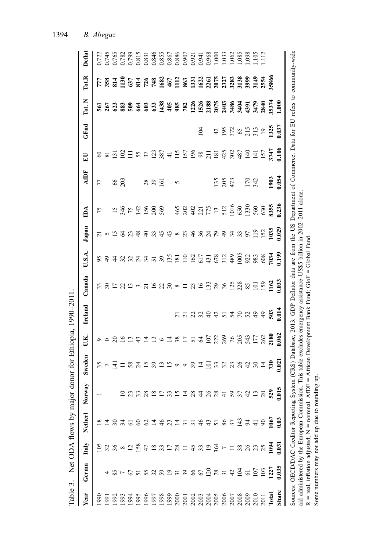<span id="page-13-0"></span>

| $E_{\rm U}$<br>ADF<br>ЦÍ                                                                                                                                                                                                            | Japan<br>U.S.A.                           | Canada                                                                                                                                                                                                                                                                                                                                   | Ireland   | U.K.                                                                                                                                                                                                                                                                                                                                                                                                                                                                     | Sweden                                                                                                            | Norway                        | Netherl                                                                                                                                                                                                                                                                                                                                                                                                                                 |
|-------------------------------------------------------------------------------------------------------------------------------------------------------------------------------------------------------------------------------------|-------------------------------------------|------------------------------------------------------------------------------------------------------------------------------------------------------------------------------------------------------------------------------------------------------------------------------------------------------------------------------------------|-----------|--------------------------------------------------------------------------------------------------------------------------------------------------------------------------------------------------------------------------------------------------------------------------------------------------------------------------------------------------------------------------------------------------------------------------------------------------------------------------|-------------------------------------------------------------------------------------------------------------------|-------------------------------|-----------------------------------------------------------------------------------------------------------------------------------------------------------------------------------------------------------------------------------------------------------------------------------------------------------------------------------------------------------------------------------------------------------------------------------------|
| 77<br>75                                                                                                                                                                                                                            | ಸ ಎ                                       |                                                                                                                                                                                                                                                                                                                                          |           |                                                                                                                                                                                                                                                                                                                                                                                                                                                                          |                                                                                                                   |                               |                                                                                                                                                                                                                                                                                                                                                                                                                                         |
|                                                                                                                                                                                                                                     |                                           |                                                                                                                                                                                                                                                                                                                                          |           |                                                                                                                                                                                                                                                                                                                                                                                                                                                                          |                                                                                                                   |                               |                                                                                                                                                                                                                                                                                                                                                                                                                                         |
| $\frac{66}{203}$                                                                                                                                                                                                                    |                                           |                                                                                                                                                                                                                                                                                                                                          |           |                                                                                                                                                                                                                                                                                                                                                                                                                                                                          |                                                                                                                   |                               |                                                                                                                                                                                                                                                                                                                                                                                                                                         |
|                                                                                                                                                                                                                                     |                                           |                                                                                                                                                                                                                                                                                                                                          |           | $\circ \circ \mathop{\mathtt{R}}\nolimits \mathop{\mathtt{H}}\nolimits \mathop{\mathtt{H}}\nolimits \mathop{\mathtt{H}}\nolimits \mathop{\mathtt{H}}\nolimits$                                                                                                                                                                                                                                                                                                           |                                                                                                                   |                               |                                                                                                                                                                                                                                                                                                                                                                                                                                         |
|                                                                                                                                                                                                                                     |                                           |                                                                                                                                                                                                                                                                                                                                          |           |                                                                                                                                                                                                                                                                                                                                                                                                                                                                          |                                                                                                                   | 2738                          |                                                                                                                                                                                                                                                                                                                                                                                                                                         |
|                                                                                                                                                                                                                                     |                                           |                                                                                                                                                                                                                                                                                                                                          |           |                                                                                                                                                                                                                                                                                                                                                                                                                                                                          |                                                                                                                   |                               |                                                                                                                                                                                                                                                                                                                                                                                                                                         |
|                                                                                                                                                                                                                                     |                                           |                                                                                                                                                                                                                                                                                                                                          |           |                                                                                                                                                                                                                                                                                                                                                                                                                                                                          |                                                                                                                   |                               |                                                                                                                                                                                                                                                                                                                                                                                                                                         |
| 2890                                                                                                                                                                                                                                |                                           |                                                                                                                                                                                                                                                                                                                                          |           | $\frac{13}{6}$                                                                                                                                                                                                                                                                                                                                                                                                                                                           |                                                                                                                   |                               |                                                                                                                                                                                                                                                                                                                                                                                                                                         |
|                                                                                                                                                                                                                                     |                                           |                                                                                                                                                                                                                                                                                                                                          |           |                                                                                                                                                                                                                                                                                                                                                                                                                                                                          |                                                                                                                   |                               |                                                                                                                                                                                                                                                                                                                                                                                                                                         |
| $1.38 \times 1.188$ $1.488$ $1.588$ $1.588$ $1.588$ $1.588$ $1.588$ $1.588$ $1.588$ $1.588$ $1.588$ $1.588$ $1.588$ $1.588$ $1.588$ $1.588$ $1.588$ $1.588$ $1.588$ $1.588$ $1.588$ $1.588$ $1.588$ $1.588$ $1.588$ $1.588$ $1.588$ | H 3 3 3 4 5 5 5 4 5 6 7 6 7 6 7 6 7 6 7 6 | $\mathfrak{B} \boxtimes \mathbb{C}$ $\boxtimes$ $\mathfrak{B} \cong \mathbb{C}$ $\mathbb{C}$ $\cong$ $\mathbb{C}$ $\mathbb{C}$ $\cong$ $\mathbb{C}$ $\cong$ $\mathbb{C}$ $\cong$ $\mathbb{C}$ $\cong$ $\mathbb{C}$ $\cong$ $\mathbb{C}$ $\cong$ $\mathbb{C}$ $\cong$ $\cong$ $\mathbb{C}$ $\cong$ $\cong$ $\cong$ $\cong$ $\cong$ $\con$ |           | $\begin{array}{c}\n 1 \times 1 \\  2 \times 2 \\  3 \times 1 \\  4 \times 2 \\  5 \times 3 \\  6 \times 4 \\  7 \times 6 \\  8 \times 1 \\  9 \times 1 \\  10 \times 1 \\  21 \times 1 \\  32 \times 1 \\  4 \times 1 \\  5 \times 1 \\  6 \times 1 \\  7 \times 1 \\  8 \times 1 \\  9 \times 1 \\  10 \times 1 \\  11 \times 1 \\  12 \times 1 \\  13 \times 1 \\  14 \times 1 \\  15 \times 1 \\  16 \times 1 \\  17 \times 1 \\  18 \times 1 \\  19 \times 1 \\  11$ | $5.5$ $\pm$ $\pm$ $\pm$ $3.8$ $\pm$ $2.8$ $\pm$ $2.9$ $\pm$ $2.9$ $\pm$ $2.9$ $\pm$ $2.9$ $\pm$ $2.9$ $\pm$ $2.9$ | 3 1 1 2 3 4 5 6 7 4 5 6 7 4 5 | $\begin{array}{l} 68.75 \times 10^{-3} \text{ s} \times 10^{-4} \text{ s} \times 10^{-4} \text{ s} \times 10^{-4} \text{ s} \times 10^{-4} \text{ s} \times 10^{-4} \text{ s} \times 10^{-4} \text{ s} \times 10^{-4} \text{ s} \times 10^{-4} \text{ s} \times 10^{-4} \text{ s} \times 10^{-4} \text{ s} \times 10^{-4} \text{ s} \times 10^{-4} \text{ s} \times 10^{-4} \text{ s} \times 10^{-4} \text{ s} \times 10^{-4} \text{ s$ |
| 5                                                                                                                                                                                                                                   |                                           |                                                                                                                                                                                                                                                                                                                                          |           |                                                                                                                                                                                                                                                                                                                                                                                                                                                                          |                                                                                                                   |                               |                                                                                                                                                                                                                                                                                                                                                                                                                                         |
|                                                                                                                                                                                                                                     |                                           |                                                                                                                                                                                                                                                                                                                                          |           |                                                                                                                                                                                                                                                                                                                                                                                                                                                                          |                                                                                                                   |                               |                                                                                                                                                                                                                                                                                                                                                                                                                                         |
|                                                                                                                                                                                                                                     |                                           |                                                                                                                                                                                                                                                                                                                                          |           |                                                                                                                                                                                                                                                                                                                                                                                                                                                                          |                                                                                                                   |                               |                                                                                                                                                                                                                                                                                                                                                                                                                                         |
|                                                                                                                                                                                                                                     |                                           |                                                                                                                                                                                                                                                                                                                                          |           |                                                                                                                                                                                                                                                                                                                                                                                                                                                                          |                                                                                                                   |                               |                                                                                                                                                                                                                                                                                                                                                                                                                                         |
|                                                                                                                                                                                                                                     |                                           |                                                                                                                                                                                                                                                                                                                                          |           |                                                                                                                                                                                                                                                                                                                                                                                                                                                                          |                                                                                                                   |                               |                                                                                                                                                                                                                                                                                                                                                                                                                                         |
|                                                                                                                                                                                                                                     |                                           |                                                                                                                                                                                                                                                                                                                                          | ERRESSERS |                                                                                                                                                                                                                                                                                                                                                                                                                                                                          |                                                                                                                   |                               |                                                                                                                                                                                                                                                                                                                                                                                                                                         |
| $\frac{135}{205}$                                                                                                                                                                                                                   |                                           |                                                                                                                                                                                                                                                                                                                                          |           |                                                                                                                                                                                                                                                                                                                                                                                                                                                                          |                                                                                                                   |                               |                                                                                                                                                                                                                                                                                                                                                                                                                                         |
|                                                                                                                                                                                                                                     |                                           |                                                                                                                                                                                                                                                                                                                                          |           |                                                                                                                                                                                                                                                                                                                                                                                                                                                                          |                                                                                                                   |                               |                                                                                                                                                                                                                                                                                                                                                                                                                                         |
|                                                                                                                                                                                                                                     |                                           |                                                                                                                                                                                                                                                                                                                                          |           |                                                                                                                                                                                                                                                                                                                                                                                                                                                                          |                                                                                                                   |                               |                                                                                                                                                                                                                                                                                                                                                                                                                                         |
| 170<br>342                                                                                                                                                                                                                          |                                           |                                                                                                                                                                                                                                                                                                                                          |           |                                                                                                                                                                                                                                                                                                                                                                                                                                                                          |                                                                                                                   |                               |                                                                                                                                                                                                                                                                                                                                                                                                                                         |
|                                                                                                                                                                                                                                     | $\frac{1}{2}$                             |                                                                                                                                                                                                                                                                                                                                          |           |                                                                                                                                                                                                                                                                                                                                                                                                                                                                          |                                                                                                                   |                               |                                                                                                                                                                                                                                                                                                                                                                                                                                         |
|                                                                                                                                                                                                                                     | $\frac{152}{035}$                         |                                                                                                                                                                                                                                                                                                                                          | 9904      |                                                                                                                                                                                                                                                                                                                                                                                                                                                                          |                                                                                                                   | $\frac{20}{529}$              |                                                                                                                                                                                                                                                                                                                                                                                                                                         |
| 1903                                                                                                                                                                                                                                |                                           |                                                                                                                                                                                                                                                                                                                                          |           |                                                                                                                                                                                                                                                                                                                                                                                                                                                                          |                                                                                                                   |                               |                                                                                                                                                                                                                                                                                                                                                                                                                                         |
| 0.054                                                                                                                                                                                                                               | .029                                      | $\ddot{3}$                                                                                                                                                                                                                                                                                                                               |           |                                                                                                                                                                                                                                                                                                                                                                                                                                                                          |                                                                                                                   |                               | 0.02<br>0.015                                                                                                                                                                                                                                                                                                                                                                                                                           |

 $\ddot{\cdot}$ Sources: OCCD/D/AC Creator Reporting System (CKS) Database, 2013. ODP Detator data are trom the OS Department aid administered by the European Commission. This table excludes emergency assistance-US\$S billion in 2002–2011 aid administered by the European Commission. This table excludes emergency assistance–US\$5 billion in 2002–2011 alone.

 $R = real$ , inflation adjusted;  $N = normal$ . AfDF = African Development Bank Fund; GloF = Global Fund.

Some numbers may not add up due to rounding up.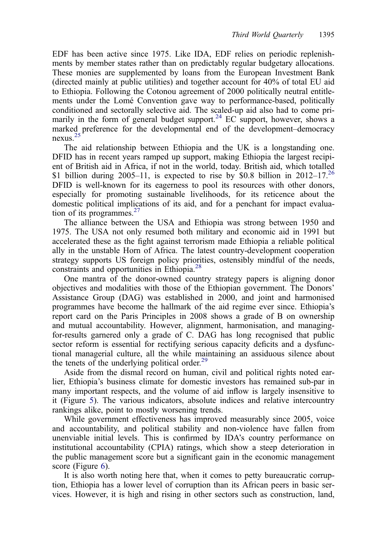EDF has been active since 1975. Like IDA, EDF relies on periodic replenishments by member states rather than on predictably regular budgetary allocations. These monies are supplemented by loans from the European Investment Bank (directed mainly at public utilities) and together account for 40% of total EU aid to Ethiopia. Following the Cotonou agreement of 2000 politically neutral entitlements under the Lomé Convention gave way to performance-based, politically conditioned and sectorally selective aid. The scaled-up aid also had to come pri-marily in the form of general budget support.<sup>[24](#page-20-0)</sup> EC support, however, shows a marked preference for the developmental end of the development–democracy nexus $25$ 

The aid relationship between Ethiopia and the UK is a longstanding one. DFID has in recent years ramped up support, making Ethiopia the largest recipient of British aid in Africa, if not in the world, today. British aid, which totalled \$1 billion during 2005–11, is expected to rise by \$0.8 billion in  $2012-17$ <sup>26</sup> DFID is well-known for its eagerness to pool its resources with other donors, especially for promoting sustainable livelihoods, for its reticence about the domestic political implications of its aid, and for a penchant for impact evaluation of its programmes. $27$ 

The alliance between the USA and Ethiopia was strong between 1950 and 1975. The USA not only resumed both military and economic aid in 1991 but accelerated these as the fight against terrorism made Ethiopia a reliable political ally in the unstable Horn of Africa. The latest country-development cooperation strategy supports US foreign policy priorities, ostensibly mindful of the needs, constraints and opportunities in Ethiopia.[28](#page-20-0)

One mantra of the donor-owned country strategy papers is aligning donor objectives and modalities with those of the Ethiopian government. The Donors' Assistance Group (DAG) was established in 2000, and joint and harmonised programmes have become the hallmark of the aid regime ever since. Ethiopia's report card on the Paris Principles in 2008 shows a grade of B on ownership and mutual accountability. However, alignment, harmonisation, and managingfor-results garnered only a grade of C. DAG has long recognised that public sector reform is essential for rectifying serious capacity deficits and a dysfunctional managerial culture, all the while maintaining an assiduous silence about the tenets of the underlying political order. $^{29}$  $^{29}$  $^{29}$ 

Aside from the dismal record on human, civil and political rights noted earlier, Ethiopia's business climate for domestic investors has remained sub-par in many important respects, and the volume of aid inflow is largely insensitive to it (Figure [5\)](#page-15-0). The various indicators, absolute indices and relative intercountry rankings alike, point to mostly worsening trends.

While government effectiveness has improved measurably since 2005, voice and accountability, and political stability and non-violence have fallen from unenviable initial levels. This is confirmed by IDA's country performance on institutional accountability (CPIA) ratings, which show a steep deterioration in the public management score but a significant gain in the economic management score (Figure [6](#page-15-0)).

It is also worth noting here that, when it comes to petty bureaucratic corruption, Ethiopia has a lower level of corruption than its African peers in basic services. However, it is high and rising in other sectors such as construction, land,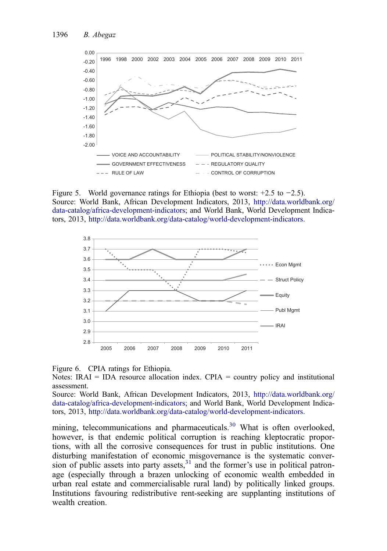<span id="page-15-0"></span>

Figure 5. World governance ratings for Ethiopia (best to worst: +2.5 to −2.5). Source: World Bank, African Development Indicators, 2013, [http://data.worldbank.org/](http://data.worldbank.org/data-catalog/africa-development-indicators) [data-catalog/africa-development-indicators](http://data.worldbank.org/data-catalog/africa-development-indicators); and World Bank, World Development Indicators, 2013, [http://data.worldbank.org/data-catalog/world-development-indicators.](http://data.worldbank.org/data-catalog/world-development-indicators)



Figure 6. CPIA ratings for Ethiopia.

Notes: IRAI = IDA resource allocation index. CPIA = country policy and institutional assessment.

Source: World Bank, African Development Indicators, 2013, [http://data.worldbank.org/](http://data.worldbank.org/data-catalog/africa-development-indicators) [data-catalog/africa-development-indicators](http://data.worldbank.org/data-catalog/africa-development-indicators); and World Bank, World Development Indicators, 2013, [http://data.worldbank.org/data-catalog/world-development-indicators.](http://data.worldbank.org/data-catalog/world-development-indicators)

mining, telecommunications and pharmaceuticals.<sup>30</sup> What is often overlooked, however, is that endemic political corruption is reaching kleptocratic proportions, with all the corrosive consequences for trust in public institutions. One disturbing manifestation of economic misgovernance is the systematic conversion of public assets into party assets, $31$  and the former's use in political patronage (especially through a brazen unlocking of economic wealth embedded in urban real estate and commercialisable rural land) by politically linked groups. Institutions favouring redistributive rent-seeking are supplanting institutions of wealth creation.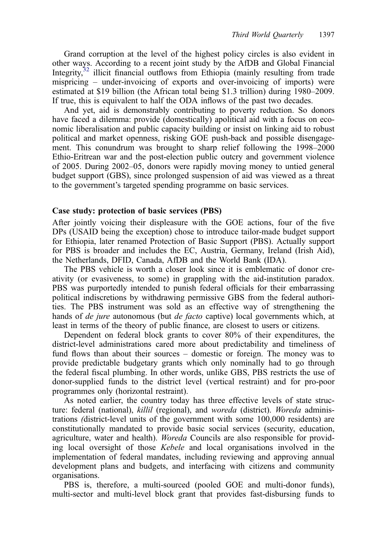Grand corruption at the level of the highest policy circles is also evident in other ways. According to a recent joint study by the AfDB and Global Financial Integrity, $3^2$  illicit financial outflows from Ethiopia (mainly resulting from trade mispricing – under-invoicing of exports and over-invoicing of imports) were estimated at \$19 billion (the African total being \$1.3 trillion) during 1980–2009. If true, this is equivalent to half the ODA inflows of the past two decades.

And yet, aid is demonstrably contributing to poverty reduction. So donors have faced a dilemma: provide (domestically) apolitical aid with a focus on economic liberalisation and public capacity building or insist on linking aid to robust political and market openness, risking GOE push-back and possible disengagement. This conundrum was brought to sharp relief following the 1998–2000 Ethio-Eritrean war and the post-election public outcry and government violence of 2005. During 2002–05, donors were rapidly moving money to untied general budget support (GBS), since prolonged suspension of aid was viewed as a threat to the government's targeted spending programme on basic services.

#### Case study: protection of basic services (PBS)

After jointly voicing their displeasure with the GOE actions, four of the five DPs (USAID being the exception) chose to introduce tailor-made budget support for Ethiopia, later renamed Protection of Basic Support (PBS). Actually support for PBS is broader and includes the EC, Austria, Germany, Ireland (Irish Aid), the Netherlands, DFID, Canada, AfDB and the World Bank (IDA).

The PBS vehicle is worth a closer look since it is emblematic of donor creativity (or evasiveness, to some) in grappling with the aid-institution paradox. PBS was purportedly intended to punish federal officials for their embarrassing political indiscretions by withdrawing permissive GBS from the federal authorities. The PBS instrument was sold as an effective way of strengthening the hands of *de jure* autonomous (but *de facto* captive) local governments which, at least in terms of the theory of public finance, are closest to users or citizens.

Dependent on federal block grants to cover 80% of their expenditures, the district-level administrations cared more about predictability and timeliness of fund flows than about their sources – domestic or foreign. The money was to provide predictable budgetary grants which only nominally had to go through the federal fiscal plumbing. In other words, unlike GBS, PBS restricts the use of donor-supplied funds to the district level (vertical restraint) and for pro-poor programmes only (horizontal restraint).

As noted earlier, the country today has three effective levels of state structure: federal (national), *killil* (regional), and *woreda* (district). *Woreda* administrations (district-level units of the government with some 100,000 residents) are constitutionally mandated to provide basic social services (security, education, agriculture, water and health). Woreda Councils are also responsible for providing local oversight of those Kebele and local organisations involved in the implementation of federal mandates, including reviewing and approving annual development plans and budgets, and interfacing with citizens and community organisations.

PBS is, therefore, a multi-sourced (pooled GOE and multi-donor funds), multi-sector and multi-level block grant that provides fast-disbursing funds to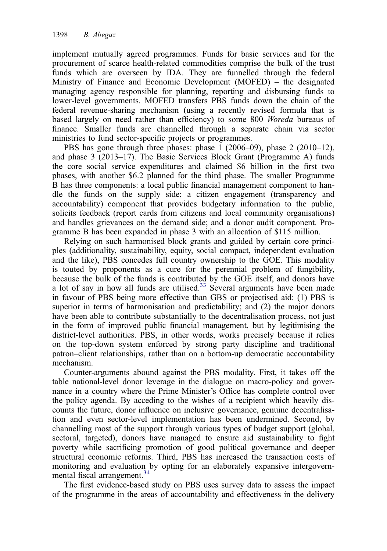implement mutually agreed programmes. Funds for basic services and for the procurement of scarce health-related commodities comprise the bulk of the trust funds which are overseen by IDA. They are funnelled through the federal Ministry of Finance and Economic Development (MOFED) – the designated managing agency responsible for planning, reporting and disbursing funds to lower-level governments. MOFED transfers PBS funds down the chain of the federal revenue-sharing mechanism (using a recently revised formula that is based largely on need rather than efficiency) to some 800 Woreda bureaus of finance. Smaller funds are channelled through a separate chain via sector ministries to fund sector-specific projects or programmes.

PBS has gone through three phases: phase 1 (2006–09), phase 2 (2010–12), and phase 3 (2013–17). The Basic Services Block Grant (Programme A) funds the core social service expenditures and claimed \$6 billion in the first two phases, with another \$6.2 planned for the third phase. The smaller Programme B has three components: a local public financial management component to handle the funds on the supply side; a citizen engagement (transparency and accountability) component that provides budgetary information to the public, solicits feedback (report cards from citizens and local community organisations) and handles grievances on the demand side; and a donor audit component. Programme B has been expanded in phase 3 with an allocation of \$115 million.

Relying on such harmonised block grants and guided by certain core principles (additionality, sustainability, equity, social compact, independent evaluation and the like), PBS concedes full country ownership to the GOE. This modality is touted by proponents as a cure for the perennial problem of fungibility, because the bulk of the funds is contributed by the GOE itself, and donors have a lot of say in how all funds are utilised.<sup>[33](#page-20-0)</sup> Several arguments have been made in favour of PBS being more effective than GBS or projectised aid: (1) PBS is superior in terms of harmonisation and predictability; and (2) the major donors have been able to contribute substantially to the decentralisation process, not just in the form of improved public financial management, but by legitimising the district-level authorities. PBS, in other words, works precisely because it relies on the top-down system enforced by strong party discipline and traditional patron–client relationships, rather than on a bottom-up democratic accountability mechanism.

Counter-arguments abound against the PBS modality. First, it takes off the table national-level donor leverage in the dialogue on macro-policy and governance in a country where the Prime Minister's Office has complete control over the policy agenda. By acceding to the wishes of a recipient which heavily discounts the future, donor influence on inclusive governance, genuine decentralisation and even sector-level implementation has been undermined. Second, by channelling most of the support through various types of budget support (global, sectoral, targeted), donors have managed to ensure aid sustainability to fight poverty while sacrificing promotion of good political governance and deeper structural economic reforms. Third, PBS has increased the transaction costs of monitoring and evaluation by opting for an elaborately expansive intergovern-mental fiscal arrangement.<sup>[34](#page-20-0)</sup>

The first evidence-based study on PBS uses survey data to assess the impact of the programme in the areas of accountability and effectiveness in the delivery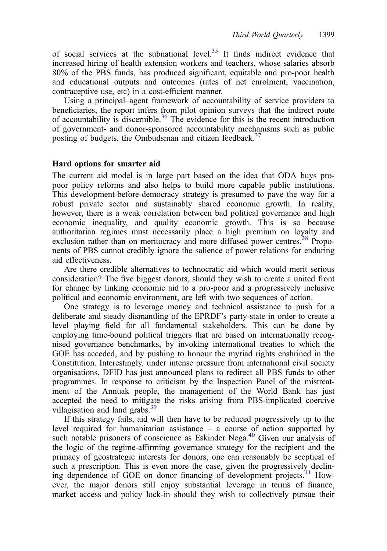of social services at the subnational level.<sup>[35](#page-20-0)</sup> It finds indirect evidence that increased hiring of health extension workers and teachers, whose salaries absorb 80% of the PBS funds, has produced significant, equitable and pro-poor health and educational outputs and outcomes (rates of net enrolment, vaccination, contraceptive use, etc) in a cost-efficient manner.

Using a principal–agent framework of accountability of service providers to beneficiaries, the report infers from pilot opinion surveys that the indirect route of accountability is discernible[.36](#page-20-0) The evidence for this is the recent introduction of government- and donor-sponsored accountability mechanisms such as public posting of budgets, the Ombudsman and citizen feedback.<sup>[37](#page-20-0)</sup>

# Hard options for smarter aid

The current aid model is in large part based on the idea that ODA buys propoor policy reforms and also helps to build more capable public institutions. This development-before-democracy strategy is presumed to pave the way for a robust private sector and sustainably shared economic growth. In reality, however, there is a weak correlation between bad political governance and high economic inequality, and quality economic growth. This is so because authoritarian regimes must necessarily place a high premium on loyalty and exclusion rather than on meritocracy and more diffused power centres.<sup>[38](#page-20-0)</sup> Proponents of PBS cannot credibly ignore the salience of power relations for enduring aid effectiveness.

Are there credible alternatives to technocratic aid which would merit serious consideration? The five biggest donors, should they wish to create a united front for change by linking economic aid to a pro-poor and a progressively inclusive political and economic environment, are left with two sequences of action.

One strategy is to leverage money and technical assistance to push for a deliberate and steady dismantling of the EPRDF's party-state in order to create a level playing field for all fundamental stakeholders. This can be done by employing time-bound political triggers that are based on internationally recognised governance benchmarks, by invoking international treaties to which the GOE has acceded, and by pushing to honour the myriad rights enshrined in the Constitution. Interestingly, under intense pressure from international civil society organisations, DFID has just announced plans to redirect all PBS funds to other programmes. In response to criticism by the Inspection Panel of the mistreatment of the Annuak people, the management of the World Bank has just accepted the need to mitigate the risks arising from PBS-implicated coercive villagisation and land grabs.<sup>[39](#page-20-0)</sup>

If this strategy fails, aid will then have to be reduced progressively up to the level required for humanitarian assistance  $-$  a course of action supported by such notable prisoners of conscience as Eskinder Nega.<sup>[40](#page-20-0)</sup> Given our analysis of the logic of the regime-affirming governance strategy for the recipient and the primacy of geostrategic interests for donors, one can reasonably be sceptical of such a prescription. This is even more the case, given the progressively declining dependence of GOE on donor financing of development projects.<sup>41</sup> However, the major donors still enjoy substantial leverage in terms of finance, market access and policy lock-in should they wish to collectively pursue their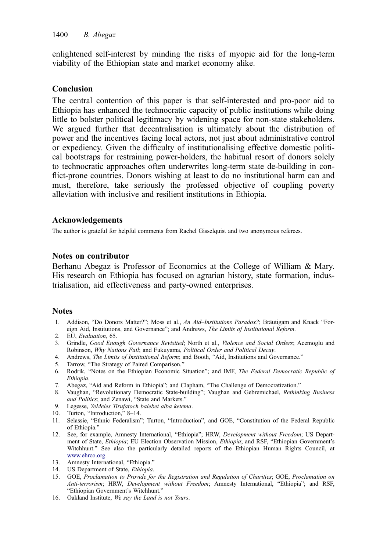<span id="page-19-0"></span>enlightened self-interest by minding the risks of myopic aid for the long-term viability of the Ethiopian state and market economy alike.

# Conclusion

The central contention of this paper is that self-interested and pro-poor aid to Ethiopia has enhanced the technocratic capacity of public institutions while doing little to bolster political legitimacy by widening space for non-state stakeholders. We argued further that decentralisation is ultimately about the distribution of power and the incentives facing local actors, not just about administrative control or expediency. Given the difficulty of institutionalising effective domestic political bootstraps for restraining power-holders, the habitual resort of donors solely to technocratic approaches often underwrites long-term state de-building in conflict-prone countries. Donors wishing at least to do no institutional harm can and must, therefore, take seriously the professed objective of coupling poverty alleviation with inclusive and resilient institutions in Ethiopia.

# Acknowledgements

The author is grateful for helpful comments from Rachel Gisselquist and two anonymous referees.

# Notes on contributor

Berhanu Abegaz is Professor of Economics at the College of William & Mary. His research on Ethiopia has focused on agrarian history, state formation, industrialisation, aid effectiveness and party-owned enterprises.

### **Notes**

- 1. Addison, "Do Donors Matter?"; Moss et al., An Aid-Institutions Paradox?; Bräutigam and Knack "Foreign Aid, Institutions, and Governance"; and Andrews, The Limits of Institutional Reform.
- 2. EU, Evaluation, 65.
- 3. Grindle, Good Enough Governance Revisited; North et al., Violence and Social Orders; Acemoglu and Robinson, Why Nations Fail; and Fukuyama, Political Order and Political Decay.
- 4. Andrews, The Limits of Institutional Reform; and Booth, "Aid, Institutions and Governance."
- 5. Tarrow, "The Strategy of Paired Comparison."
- 6. Rodrik, "Notes on the Ethiopian Economic Situation"; and IMF, The Federal Democratic Republic of Ethiopia.
- 7. Abegaz, "Aid and Reform in Ethiopia"; and Clapham, "The Challenge of Democratization."
- 8. Vaughan, "Revolutionary Democratic State-building"; Vaughan and Gebremichael, Rethinking Business and Politics; and Zenawi, "State and Markets."
- 9. Legesse, YeMeles Tirufatoch balebet alba ketema.
- 10. Turton, "Introduction," 8–14.
- 11. Selassie, "Ethnic Federalism"; Turton, "Introduction", and GOE, "Constitution of the Federal Republic of Ethiopia."
- 12. See, for example, Amnesty International, "Ethiopia"; HRW, Development without Freedom; US Department of State, Ethiopia; EU Election Observation Mission, Ethiopia; and RSF, "Ethiopian Government's Witchhunt." See also the particularly detailed reports of the Ethiopian Human Rights Council, at [www.ehrco.org](http://www.ehrco.org).
- 13. Amnesty International, "Ethiopia."
- 14. US Department of State, Ethiopia.
- 15. GOE, Proclamation to Provide for the Registration and Regulation of Charities; GOE, Proclamation on Anti-terrorism; HRW, Development without Freedom; Amnesty International, "Ethiopia"; and RSF, "Ethiopian Government's Witchhunt."
- 16. Oakland Institute, We say the Land is not Yours.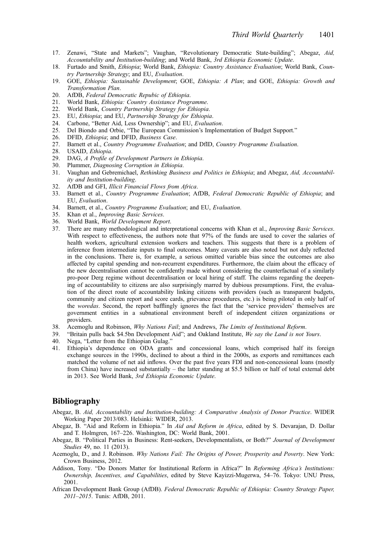- <span id="page-20-0"></span>17. Zenawi, "State and Markets"; Vaughan, "Revolutionary Democratic State-building"; Abegaz, Aid, Accountability and Institution-building; and World Bank, 3rd Ethiopia Economic Update.
- 18. Furtado and Smith, Ethiopia; World Bank, Ethiopia: Country Assistance Evaluation; World Bank, Country Partnership Strategy; and EU, Evaluation.
- 19. GOE, Ethiopia: Sustainable Development; GOE, Ethiopia: A Plan; and GOE, Ethiopia: Growth and Transformation Plan.
- 20. AfDB, Federal Democratic Repubic of Ethiopia.<br>21. World Bank. Ethiopia: Country Assistance Progr
- World Bank, Ethiopia: Country Assistance Programme.
- 22. World Bank, Country Partnership Strategy for Ethiopia.
- 23. EU, Ethiopia; and EU, Partnership Strategy for Ethiopia.
- 24. Carbone, "Better Aid, Less Ownership"; and EU, Evaluation.
- 25. Del Biondo and Orbie, "The European Commission's Implementation of Budget Support."
- 26. DFID, Ethiopia; and DFID, Business Case.
- 27. Barnett et al., Country Programme Evaluation; and DfID, Country Programme Evaluation.<br>28. USAID, Ethiopia.
- 28. USAID, Ethiopia.<br>29 DAG A Profile of
- DAG, A Profile of Development Partners in Ethiopia.
- 30. Plummer, Diagnosing Corruption in Ethiopia.
- 31. Vaughan and Gebremichael, Rethinking Business and Politics in Ethiopia; and Abegaz, Aid, Accountability and Institution-building.
- 32. AfDB and GFI, Illicit Financial Flows from Africa.
- 33. Barnett et al., Country Programme Evaluation; AfDB, Federal Democratic Republic of Ethiopia; and EU, Evaluation.
- 34. Barnett, et al., Country Programme Evaluation; and EU, Evaluation.
- 35. Khan et al., Improving Basic Services.
- 36. World Bank, World Development Report.
- 37. There are many methodological and interpretational concerns with Khan et al., Improving Basic Services. With respect to effectiveness, the authors note that 97% of the funds are used to cover the salaries of health workers, agricultural extension workers and teachers. This suggests that there is a problem of inference from intermediate inputs to final outcomes. Many caveats are also noted but not duly reflected in the conclusions. There is, for example, a serious omitted variable bias since the outcomes are also affected by capital spending and non-recurrent expenditures. Furthermore, the claim about the efficacy of the new decentralisation cannot be confidently made without considering the counterfactual of a similarly pro-poor Derg regime without decentralisation or local hiring of staff. The claims regarding the deepening of accountability to citizens are also surprisingly marred by dubious presumptions. First, the evaluation of the direct route of accountability linking citizens with providers (such as transparent budgets, community and citizen report and score cards, grievance procedures, etc.) is being piloted in only half of the woredas. Second, the report bafflingly ignores the fact that the 'service providers' themselves are government entities in a subnational environment bereft of independent citizen organizations or providers.
- 38. Acemoglu and Robinson, Why Nations Fail; and Andrews, The Limits of Institutional Reform.
- 39. "Britain pulls back \$4.5bn Development Aid"; and Oakland Institute, We say the Land is not Yours.
- 40. Nega, "Letter from the Ethiopian Gulag."
- 41. Ethiopia's dependence on ODA grants and concessional loans, which comprised half its foreign exchange sources in the 1990s, declined to about a third in the 2000s, as exports and remittances each matched the volume of net aid inflows. Over the past five years FDI and non-concessional loans (mostly from China) have increased substantially – the latter standing at \$5.5 billion or half of total external debt in 2013. See World Bank, 3rd Ethiopia Economic Update.

# Bibliography

- Abegaz, B. Aid, Accountability and Institution-building: A Comparative Analysis of Donor Practice. WIDER Working Paper 2013/083. Helsinki: WIDER, 2013.
- Abegaz, B. "Aid and Reform in Ethiopia." In Aid and Reform in Africa, edited by S. Devarajan, D. Dollar and T. Holmgren, 167–226. Washington, DC: World Bank, 2001.
- Abegaz, B. "Political Parties in Business: Rent-seekers, Developmentalists, or Both?" Journal of Development Studies 49, no. 11 (2013).
- Acemoglu, D., and J. Robinson. Why Nations Fail: The Origins of Power, Prosperity and Poverty. New York: Crown Business, 2012.
- Addison, Tony. "Do Donors Matter for Institutional Reform in Africa?" In Reforming Africa's Institutions: Ownership, Incentives, and Capabilities, edited by Steve Kayizzi-Mugerwa, 54–76. Tokyo: UNU Press, 2001.
- African Development Bank Group (AfDB). Federal Democratic Republic of Ethiopia: Country Strategy Paper, 2011–2015. Tunis: AfDB, 2011.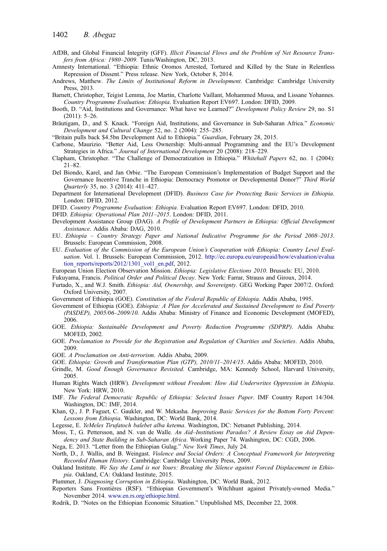- AfDB, and Global Financial Integrity (GFF). Illicit Financial Flows and the Problem of Net Resource Transfers from Africa: 1980–2009. Tunis/Washington, DC, 2013.
- Amnesty International. "Ethiopia: Ethnic Oromos Arrested, Tortured and Killed by the State in Relentless Repression of Dissent." Press release. New York, October 8, 2014.
- Andrews, Matthew. The Limits of Institutional Reform in Development. Cambridge: Cambridge University Press, 2013.
- Barnett, Christopher, Teigist Lemma, Joe Martin, Charlotte Vaillant, Mohammed Mussa, and Lissane Yohannes. Country Programme Evaluation: Ethiopia. Evaluation Report EV697. London: DFID, 2009.
- Booth, D. "Aid, Institutions and Governance: What have we Learned?" Development Policy Review 29, no. S1 (2011): 5–26.
- Bräutigam, D., and S. Knack. "Foreign Aid, Institutions, and Governance in Sub-Saharan Africa." Economic Development and Cultural Change 52, no. 2 (2004): 255–285.
- "Britain pulls back \$4.5bn Development Aid to Ethiopia." Guardian, February 28, 2015.
- Carbone, Maurizio. "Better Aid, Less Ownership: Multi-annual Programming and the EU's Development Strategies in Africa." Journal of International Development 20 (2008): 218–229.
- Clapham, Christopher. "The Challenge of Democratization in Ethiopia." Whitehall Papers 62, no. 1 (2004): 21–82.
- Del Biondo, Karel, and Jan Orbie. "The European Commission's Implementation of Budget Support and the Governance Incentive Tranche in Ethiopia: Democracy Promotor or Developmental Donor?" Third World Quarterly 35, no. 3 (2014): 411–427.
- Department for International Development (DFID). Business Case for Protecting Basic Services in Ethiopia. London: DFID, 2012.
- DFID. Country Programme Evaluation: Ethiopia. Evaluation Report EV697. London: DFID, 2010.
- DFID. Ethiopia: Operational Plan 2011–2015. London: DFID, 2011.
- Development Assistance Group (DAG). A Profile of Development Partners in Ethiopia: Official Development Assistance. Addis Ababa: DAG, 2010.
- EU. Ethiopia Country Strategy Paper and National Indicative Programme for the Period 2008–2013. Brussels: European Commission, 2008.
- EU. Evaluation of the Commission of the European Union's Cooperation with Ethiopia: Country Level Evaluation. Vol. 1. Brussels: European Commission, 2012. [http://ec.europa.eu/europeaid/how/evaluation/evalua](http://ec.europa.eu/europeaid/how/evaluation/evaluation_reports/reports/2012/1301_vol1_en.pdf) [tion\\_reports/reports/2012/1301\\_vol1\\_en.pdf](http://ec.europa.eu/europeaid/how/evaluation/evaluation_reports/reports/2012/1301_vol1_en.pdf), 2012.
- European Union Election Observation Mission. Ethiopia: Legislative Elections 2010. Brussels: EU, 2010.
- Fukuyama, Francis. Political Order and Political Decay. New York: Farrar, Strauss and Giroux, 2014.
- Furtado, X., and W.J. Smith. Ethiopia: Aid, Ownership, and Sovereignty. GEG Working Paper 2007/2. Oxford: Oxford University, 2007.
- Government of Ethiopia (GOE). Constitution of the Federal Republic of Ethiopia. Addis Ababa, 1995.
- Government of Ethiopia (GOE). Ethiopia: A Plan for Accelerated and Sustained Development to End Poverty (PASDEP), 2005/06–2009/10. Addis Ababa: Ministry of Finance and Economic Development (MOFED), 2006.
- GOE. Ethiopia: Sustainable Development and Poverty Reduction Programme (SDPRP). Addis Ababa: MOFED, 2002.
- GOE. Proclamation to Provide for the Registration and Regulation of Charities and Societies. Addis Ababa, 2009.
- GOE. A Proclamation on Anti-terrorism. Addis Ababa, 2009.
- GOE. Ethiopia: Growth and Transformation Plan (GTP), 2010/11–2014/15. Addis Ababa: MOFED, 2010.
- Grindle, M. Good Enough Governance Revisited. Cambridge, MA: Kennedy School, Harvard University, 2005.
- Human Rights Watch (HRW). Development without Freedom: How Aid Underwrites Oppression in Ethiopia. New York: HRW, 2010.
- IMF. The Federal Democratic Republic of Ethiopia: Selected Issues Paper. IMF Country Report 14/304. Washington, DC: IMF, 2014.
- Khan, Q., J. P. Faguet, C. Gaukler, and W. Mekasha. Improving Basic Services for the Bottom Forty Percent: Lessons from Ethiopia. Washington, DC: World Bank, 2014.
- Legesse, E. YeMeles Tirufatoch balebet alba ketema. Washington, DC: Netsanet Publishing, 2014.
- Moss, T., G. Pettersson, and N. van de Walle. An Aid-Institutions Paradox? A Review Essay on Aid Dependency and State Building in Sub-Saharan Africa. Working Paper 74. Washington, DC: CGD, 2006.
- Nega, E. 2013. "Letter from the Ethiopian Gulag." New York Times, July 24.
- North, D., J. Wallis, and B. Weingast. Violence and Social Orders: A Conceptual Framework for Interpreting Recorded Human History. Cambridge: Cambridge University Press, 2009.
- Oakland Institute. We Say the Land is not Yours: Breaking the Silence against Forced Displacement in Ethiopia. Oakland, CA: Oakland Institute, 2015.
- Plummer, J. Diagnosing Corruption in Ethiopia. Washington, DC: World Bank, 2012.
- Reporters Sans Frontières (RSF). "Ethiopian Government's Witchhunt against Privately-owned Media." November 2014. [www.en.rs.org/ethiopie.html.](http://www.en.rs.org/ethiopie.html)
- Rodrik, D. "Notes on the Ethiopian Economic Situation." Unpublished MS, December 22, 2008.